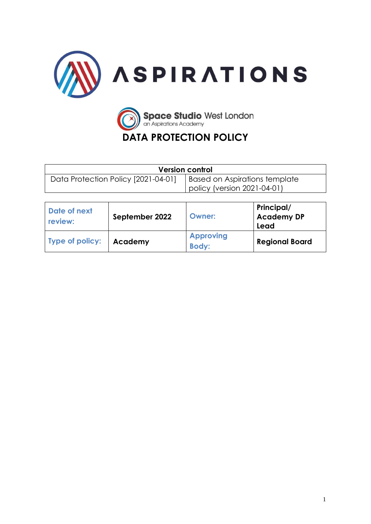



# **DATA PROTECTION POLICY**

| <b>Version control</b>              |                               |  |  |
|-------------------------------------|-------------------------------|--|--|
| Data Protection Policy [2021-04-01] | Based on Aspirations template |  |  |
|                                     | policy (version 2021-04-01)   |  |  |

| Date of next<br>review: | September 2022 | Owner:                           | Principal/<br><b>Academy DP</b><br>Lead |
|-------------------------|----------------|----------------------------------|-----------------------------------------|
| Type of policy:         | Academy        | <b>Approving</b><br><b>Body:</b> | <b>Regional Board</b>                   |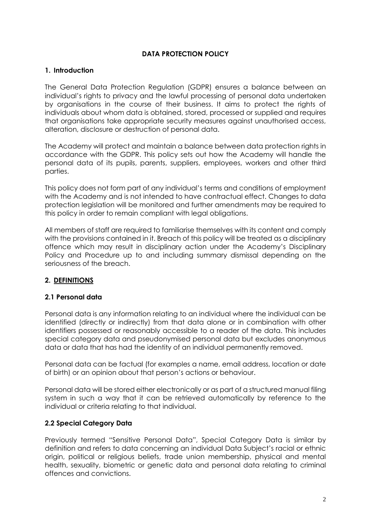# **DATA PROTECTION POLICY**

# **1. Introduction**

The General Data Protection Regulation (GDPR) ensures a balance between an individual's rights to privacy and the lawful processing of personal data undertaken by organisations in the course of their business. It aims to protect the rights of individuals about whom data is obtained, stored, processed or supplied and requires that organisations take appropriate security measures against unauthorised access, alteration, disclosure or destruction of personal data.

The Academy will protect and maintain a balance between data protection rights in accordance with the GDPR. This policy sets out how the Academy will handle the personal data of its pupils, parents, suppliers, employees, workers and other third parties.

This policy does not form part of any individual's terms and conditions of employment with the Academy and is not intended to have contractual effect. Changes to data protection legislation will be monitored and further amendments may be required to this policy in order to remain compliant with legal obligations.

All members of staff are required to familiarise themselves with its content and comply with the provisions contained in it. Breach of this policy will be treated as a disciplinary offence which may result in disciplinary action under the Academy's Disciplinary Policy and Procedure up to and including summary dismissal depending on the seriousness of the breach.

# **2. DEFINITIONS**

# **2.1 Personal data**

Personal data is any information relating to an individual where the individual can be identified (directly or indirectly) from that data alone or in combination with other identifiers possessed or reasonably accessible to a reader of the data. This includes special category data and pseudonymised personal data but excludes anonymous data or data that has had the identity of an individual permanently removed.

Personal data can be factual (for examples a name, email address, location or date of birth) or an opinion about that person's actions or behaviour.

Personal data will be stored either electronically or as part of a structured manual filing system in such a way that it can be retrieved automatically by reference to the individual or criteria relating to that individual.

# **2.2 Special Category Data**

Previously termed "Sensitive Personal Data", Special Category Data is similar by definition and refers to data concerning an individual Data Subject's racial or ethnic origin, political or religious beliefs, trade union membership, physical and mental health, sexuality, biometric or genetic data and personal data relating to criminal offences and convictions.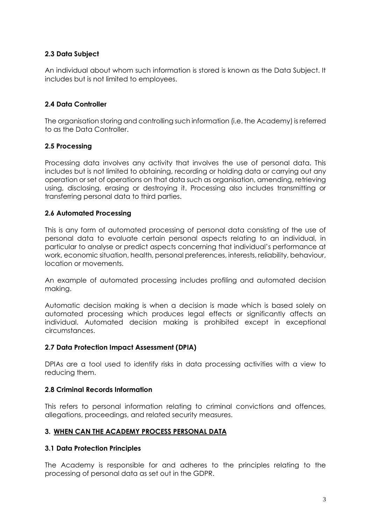# **2.3 Data Subject**

An individual about whom such information is stored is known as the Data Subject. It includes but is not limited to employees.

# **2.4 Data Controller**

The organisation storing and controlling such information (i.e. the Academy) is referred to as the Data Controller.

# **2.5 Processing**

Processing data involves any activity that involves the use of personal data. This includes but is not limited to obtaining, recording or holding data or carrying out any operation or set of operations on that data such as organisation, amending, retrieving using, disclosing, erasing or destroying it. Processing also includes transmitting or transferring personal data to third parties.

# **2.6 Automated Processing**

This is any form of automated processing of personal data consisting of the use of personal data to evaluate certain personal aspects relating to an individual, in particular to analyse or predict aspects concerning that individual's performance at work, economic situation, health, personal preferences, interests, reliability, behaviour, location or movements.

An example of automated processing includes profiling and automated decision making.

Automatic decision making is when a decision is made which is based solely on automated processing which produces legal effects or significantly affects an individual. Automated decision making is prohibited except in exceptional circumstances.

# **2.7 Data Protection Impact Assessment (DPIA)**

DPIAs are a tool used to identify risks in data processing activities with a view to reducing them.

# **2.8 Criminal Records Information**

This refers to personal information relating to criminal convictions and offences, allegations, proceedings, and related security measures.

# **3. WHEN CAN THE ACADEMY PROCESS PERSONAL DATA**

#### **3.1 Data Protection Principles**

The Academy is responsible for and adheres to the principles relating to the processing of personal data as set out in the GDPR.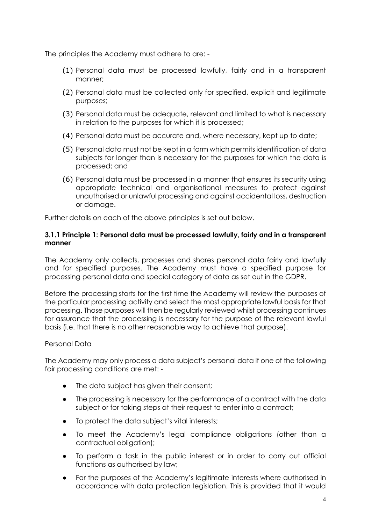The principles the Academy must adhere to are: -

- (1) Personal data must be processed lawfully, fairly and in a transparent manner;
- (2) Personal data must be collected only for specified, explicit and legitimate purposes;
- (3) Personal data must be adequate, relevant and limited to what is necessary in relation to the purposes for which it is processed;
- (4) Personal data must be accurate and, where necessary, kept up to date;
- (5) Personal data must not be kept in a form which permits identification of data subjects for longer than is necessary for the purposes for which the data is processed; and
- (6) Personal data must be processed in a manner that ensures its security using appropriate technical and organisational measures to protect against unauthorised or unlawful processing and against accidental loss, destruction or damage.

Further details on each of the above principles is set out below.

#### **3.1.1 Principle 1: Personal data must be processed lawfully, fairly and in a transparent manner**

The Academy only collects, processes and shares personal data fairly and lawfully and for specified purposes. The Academy must have a specified purpose for processing personal data and special category of data as set out in the GDPR.

Before the processing starts for the first time the Academy will review the purposes of the particular processing activity and select the most appropriate lawful basis for that processing. Those purposes will then be regularly reviewed whilst processing continues for assurance that the processing is necessary for the purpose of the relevant lawful basis (i.e. that there is no other reasonable way to achieve that purpose).

# Personal Data

The Academy may only process a data subject's personal data if one of the following fair processing conditions are met: -

- The data subject has given their consent;
- The processing is necessary for the performance of a contract with the data subject or for taking steps at their request to enter into a contract;
- To protect the data subject's vital interests;
- To meet the Academy's legal compliance obligations (other than a contractual obligation);
- To perform a task in the public interest or in order to carry out official functions as authorised by law;
- For the purposes of the Academy's legitimate interests where authorised in accordance with data protection legislation. This is provided that it would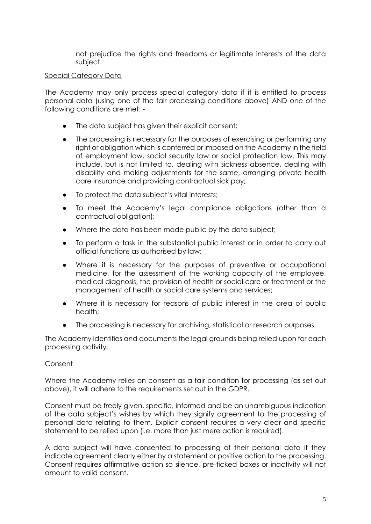not prejudice the rights and freedoms or legitimate interests of the data subject.

#### Special Category Data

The Academy may only process special category data if it is entitled to process personal data (using one of the fair processing conditions above) AND one of the following conditions are met: -

- The data subject has given their explicit consent;
- The processing is necessary for the purposes of exercising or performing any right or obligation which is conferred or imposed on the Academy in the field of employment law, social security law or social protection law. This may include, but is not limited to, dealing with sickness absence, dealing with disability and making adjustments for the same, arranging private health care insurance and providing contractual sick pay;
- To protect the data subject's vital interests;
- To meet the Academy's legal compliance obligations (other than a contractual obligation);
- Where the data has been made public by the data subject;
- To perform a task in the substantial public interest or in order to carry out official functions as authorised by law;
- Where it is necessary for the purposes of preventive or occupational medicine, for the assessment of the working capacity of the employee, medical diagnosis, the provision of health or social care or treatment or the management of health or social care systems and services;
- Where it is necessary for reasons of public interest in the area of public health;
- The processing is necessary for archiving, statistical or research purposes.

The Academy identifies and documents the legal grounds being relied upon for each processing activity.

#### Consent

Where the Academy relies on consent as a fair condition for processing (as set out above), it will adhere to the requirements set out in the GDPR.

Consent must be freely given, specific, informed and be an unambiguous indication of the data subject's wishes by which they signify agreement to the processing of personal data relating to them. Explicit consent requires a very clear and specific statement to be relied upon (i.e. more than just mere action is required).

A data subject will have consented to processing of their personal data if they indicate agreement clearly either by a statement or positive action to the processing. Consent requires affirmative action so silence, pre-ticked boxes or inactivity will not amount to valid consent.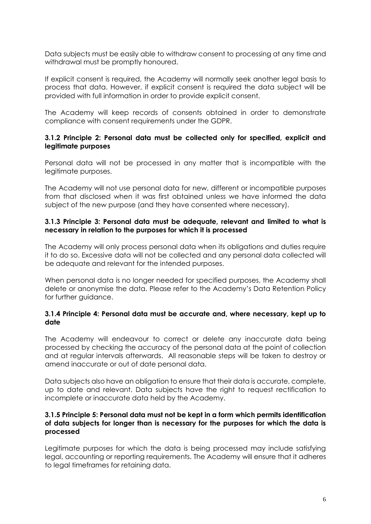Data subjects must be easily able to withdraw consent to processing at any time and withdrawal must be promptly honoured.

If explicit consent is required, the Academy will normally seek another legal basis to process that data. However, if explicit consent is required the data subject will be provided with full information in order to provide explicit consent.

The Academy will keep records of consents obtained in order to demonstrate compliance with consent requirements under the GDPR.

#### **3.1.2 Principle 2: Personal data must be collected only for specified, explicit and legitimate purposes**

Personal data will not be processed in any matter that is incompatible with the legitimate purposes.

The Academy will not use personal data for new, different or incompatible purposes from that disclosed when it was first obtained unless we have informed the data subject of the new purpose (and they have consented where necessary).

#### **3.1.3 Principle 3: Personal data must be adequate, relevant and limited to what is necessary in relation to the purposes for which it is processed**

The Academy will only process personal data when its obligations and duties require it to do so. Excessive data will not be collected and any personal data collected will be adequate and relevant for the intended purposes.

When personal data is no longer needed for specified purposes, the Academy shall delete or anonymise the data. Please refer to the Academy's Data Retention Policy for further guidance.

#### **3.1.4 Principle 4: Personal data must be accurate and, where necessary, kept up to date**

The Academy will endeavour to correct or delete any inaccurate data being processed by checking the accuracy of the personal data at the point of collection and at regular intervals afterwards. All reasonable steps will be taken to destroy or amend inaccurate or out of date personal data.

Data subjects also have an obligation to ensure that their data is accurate, complete, up to date and relevant. Data subjects have the right to request rectification to incomplete or inaccurate data held by the Academy.

#### **3.1.5 Principle 5: Personal data must not be kept in a form which permits identification of data subjects for longer than is necessary for the purposes for which the data is processed**

Legitimate purposes for which the data is being processed may include satisfying legal, accounting or reporting requirements. The Academy will ensure that it adheres to legal timeframes for retaining data.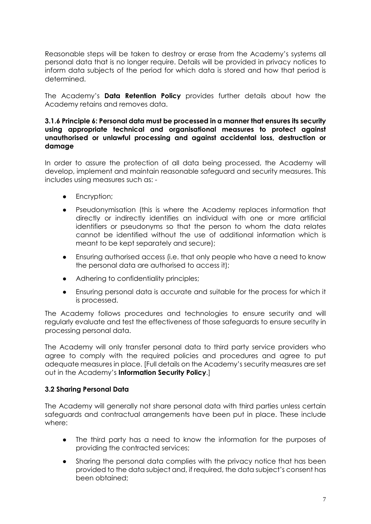Reasonable steps will be taken to destroy or erase from the Academy's systems all personal data that is no longer require. Details will be provided in privacy notices to inform data subjects of the period for which data is stored and how that period is determined.

The Academy's **Data Retention Policy** provides further details about how the Academy retains and removes data.

#### **3.1.6 Principle 6: Personal data must be processed in a manner that ensures its security using appropriate technical and organisational measures to protect against unauthorised or unlawful processing and against accidental loss, destruction or damage**

In order to assure the protection of all data being processed, the Academy will develop, implement and maintain reasonable safeguard and security measures. This includes using measures such as: -

- **•** Encryption;
- Pseudonymisation (this is where the Academy replaces information that directly or indirectly identifies an individual with one or more artificial identifiers or pseudonyms so that the person to whom the data relates cannot be identified without the use of additional information which is meant to be kept separately and secure);
- Ensuring authorised access (i.e. that only people who have a need to know the personal data are authorised to access it);
- Adhering to confidentiality principles;
- Ensuring personal data is accurate and suitable for the process for which it is processed.

The Academy follows procedures and technologies to ensure security and will regularly evaluate and test the effectiveness of those safeguards to ensure security in processing personal data.

The Academy will only transfer personal data to third party service providers who agree to comply with the required policies and procedures and agree to put adequate measures in place. [Full details on the Academy's security measures are set out in the Academy's **Information Security Policy**.]

# **3.2 Sharing Personal Data**

The Academy will generally not share personal data with third parties unless certain safeguards and contractual arrangements have been put in place. These include where:

- The third party has a need to know the information for the purposes of providing the contracted services;
- Sharing the personal data complies with the privacy notice that has been provided to the data subject and, if required, the data subject's consent has been obtained;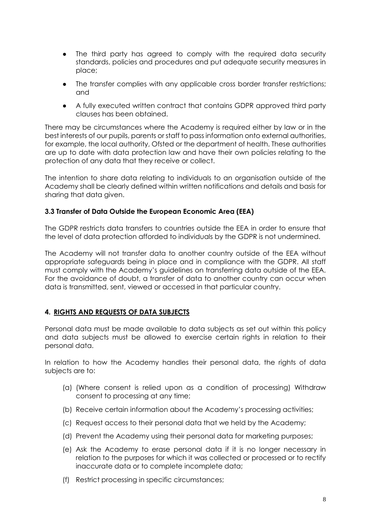- The third party has agreed to comply with the required data security standards, policies and procedures and put adequate security measures in place;
- The transfer complies with any applicable cross border transfer restrictions; and
- A fully executed written contract that contains GDPR approved third party clauses has been obtained.

There may be circumstances where the Academy is required either by law or in the best interests of our pupils, parents or staff to pass information onto external authorities, for example, the local authority, Ofsted or the department of health. These authorities are up to date with data protection law and have their own policies relating to the protection of any data that they receive or collect.

The intention to share data relating to individuals to an organisation outside of the Academy shall be clearly defined within written notifications and details and basis for sharing that data given.

# **3.3 Transfer of Data Outside the European Economic Area (EEA)**

The GDPR restricts data transfers to countries outside the EEA in order to ensure that the level of data protection afforded to individuals by the GDPR is not undermined.

The Academy will not transfer data to another country outside of the EEA without appropriate safeguards being in place and in compliance with the GDPR. All staff must comply with the Academy's guidelines on transferring data outside of the EEA. For the avoidance of doubt, a transfer of data to another country can occur when data is transmitted, sent, viewed or accessed in that particular country.

# **4. RIGHTS AND REQUESTS OF DATA SUBJECTS**

Personal data must be made available to data subjects as set out within this policy and data subjects must be allowed to exercise certain rights in relation to their personal data.

In relation to how the Academy handles their personal data, the rights of data subjects are to:

- (a) (Where consent is relied upon as a condition of processing) Withdraw consent to processing at any time;
- (b) Receive certain information about the Academy's processing activities;
- (c) Request access to their personal data that we held by the Academy;
- (d) Prevent the Academy using their personal data for marketing purposes;
- (e) Ask the Academy to erase personal data if it is no longer necessary in relation to the purposes for which it was collected or processed or to rectify inaccurate data or to complete incomplete data;
- (f) Restrict processing in specific circumstances;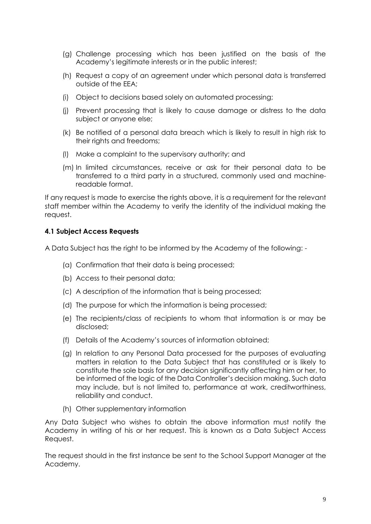- (g) Challenge processing which has been justified on the basis of the Academy's legitimate interests or in the public interest;
- (h) Request a copy of an agreement under which personal data is transferred outside of the EEA;
- (i) Object to decisions based solely on automated processing;
- (j) Prevent processing that is likely to cause damage or distress to the data subject or anyone else;
- (k) Be notified of a personal data breach which is likely to result in high risk to their rights and freedoms;
- (l) Make a complaint to the supervisory authority; and
- (m) In limited circumstances, receive or ask for their personal data to be transferred to a third party in a structured, commonly used and machinereadable format.

If any request is made to exercise the rights above, it is a requirement for the relevant staff member within the Academy to verify the identity of the individual making the request.

#### **4.1 Subject Access Requests**

A Data Subject has the right to be informed by the Academy of the following: -

- (a) Confirmation that their data is being processed;
- (b) Access to their personal data;
- (c) A description of the information that is being processed;
- (d) The purpose for which the information is being processed;
- (e) The recipients/class of recipients to whom that information is or may be disclosed;
- (f) Details of the Academy's sources of information obtained;
- (g) In relation to any Personal Data processed for the purposes of evaluating matters in relation to the Data Subject that has constituted or is likely to constitute the sole basis for any decision significantly affecting him or her, to be informed of the logic of the Data Controller's decision making. Such data may include, but is not limited to, performance at work, creditworthiness, reliability and conduct.
- (h) Other supplementary information

Any Data Subject who wishes to obtain the above information must notify the Academy in writing of his or her request. This is known as a Data Subject Access Request.

The request should in the first instance be sent to the School Support Manager at the Academy.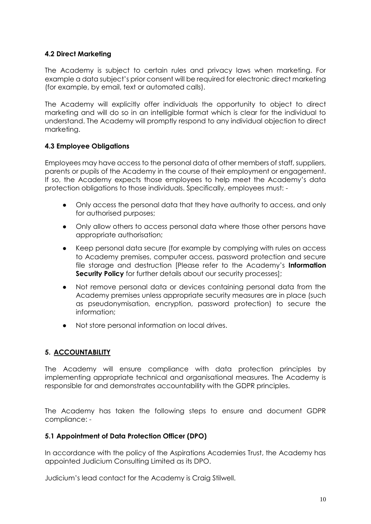# **4.2 Direct Marketing**

The Academy is subject to certain rules and privacy laws when marketing. For example a data subject's prior consent will be required for electronic direct marketing (for example, by email, text or automated calls).

The Academy will explicitly offer individuals the opportunity to object to direct marketing and will do so in an intelligible format which is clear for the individual to understand. The Academy will promptly respond to any individual objection to direct marketing.

# **4.3 Employee Obligations**

Employees may have access to the personal data of other members of staff, suppliers, parents or pupils of the Academy in the course of their employment or engagement. If so, the Academy expects those employees to help meet the Academy's data protection obligations to those individuals. Specifically, employees must: -

- Only access the personal data that they have authority to access, and only for authorised purposes;
- Only allow others to access personal data where those other persons have appropriate authorisation;
- Keep personal data secure (for example by complying with rules on access to Academy premises, computer access, password protection and secure file storage and destruction [Please refer to the Academy's **Information Security Policy** for further details about our security processes];
- Not remove personal data or devices containing personal data from the Academy premises unless appropriate security measures are in place (such as pseudonymisation, encryption, password protection) to secure the information;
- Not store personal information on local drives.

# **5. ACCOUNTABILITY**

The Academy will ensure compliance with data protection principles by implementing appropriate technical and organisational measures. The Academy is responsible for and demonstrates accountability with the GDPR principles.

The Academy has taken the following steps to ensure and document GDPR compliance: -

# **5.1 Appointment of Data Protection Officer (DPO)**

In accordance with the policy of the Aspirations Academies Trust, the Academy has appointed Judicium Consulting Limited as its DPO.

Judicium's lead contact for the Academy is Craig Stilwell.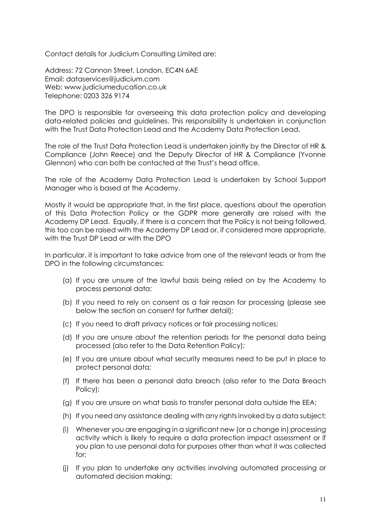Contact details for Judicium Consulting Limited are:

Address: 72 Cannon Street, London, EC4N 6AE Email: [dataservices@judicium.com](mailto:dataservices@judicium.com) Web: www.judiciumeducation.co.uk Telephone: 0203 326 9174

The DPO is responsible for overseeing this data protection policy and developing data-related policies and guidelines. This responsibility is undertaken in conjunction with the Trust Data Protection Lead and the Academy Data Protection Lead.

The role of the Trust Data Protection Lead is undertaken jointly by the Director of HR & Compliance (John Reece) and the Deputy Director of HR & Compliance (Yvonne Glennon) who can both be contacted at the Trust's head office.

The role of the Academy Data Protection Lead is undertaken by School Support Manager who is based at the Academy.

Mostly it would be appropriate that, in the first place, questions about the operation of this Data Protection Policy or the GDPR more generally are raised with the Academy DP Lead. Equally, if there is a concern that the Policy is not being followed, this too can be raised with the Academy DP Lead or, if considered more appropriate, with the Trust DP Lead or with the DPO

In particular, it is important to take advice from one of the relevant leads or from the DPO in the following circumstances:

- (a) If you are unsure of the lawful basis being relied on by the Academy to process personal data;
- (b) If you need to rely on consent as a fair reason for processing (please see below the section on consent for further detail);
- (c) If you need to draft privacy notices or fair processing notices;
- (d) If you are unsure about the retention periods for the personal data being processed (also refer to the Data Retention Policy);
- (e) If you are unsure about what security measures need to be put in place to protect personal data;
- (f) If there has been a personal data breach (also refer to the Data Breach Policy);
- (g) If you are unsure on what basis to transfer personal data outside the EEA;
- (h) If you need any assistance dealing with any rights invoked by a data subject;
- (i) Whenever you are engaging in a significant new (or a change in) processing activity which is likely to require a data protection impact assessment or if you plan to use personal data for purposes other than what it was collected for;
- (j) If you plan to undertake any activities involving automated processing or automated decision making;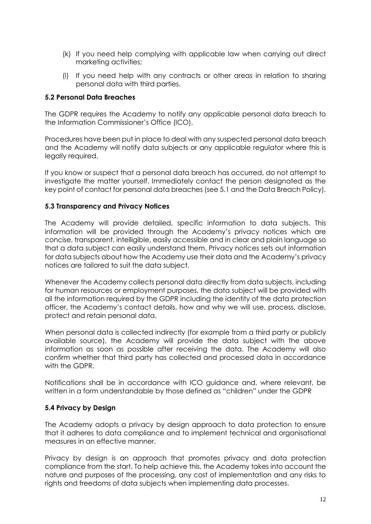- (k) If you need help complying with applicable law when carrying out direct marketing activities;
- (l) If you need help with any contracts or other areas in relation to sharing personal data with third parties.

#### **5.2 Personal Data Breaches**

The GDPR requires the Academy to notify any applicable personal data breach to the Information Commissioner's Office (ICO).

Procedures have been put in place to deal with any suspected personal data breach and the Academy will notify data subjects or any applicable regulator where this is legally required.

If you know or suspect that a personal data breach has occurred, do not attempt to investigate the matter yourself. Immediately contact the person designated as the key point of contact for personal data breaches (see 5.1 and the Data Breach Policy).

#### **5.3 Transparency and Privacy Notices**

The Academy will provide detailed, specific information to data subjects. This information will be provided through the Academy's privacy notices which are concise, transparent, intelligible, easily accessible and in clear and plain language so that a data subject can easily understand them. Privacy notices sets out information for data subjects about how the Academy use their data and the Academy's privacy notices are tailored to suit the data subject.

Whenever the Academy collects personal data directly from data subjects, including for human resources or employment purposes, the data subject will be provided with all the information required by the GDPR including the identity of the data protection officer, the Academy's contact details, how and why we will use, process, disclose, protect and retain personal data.

When personal data is collected indirectly (for example from a third party or publicly available source), the Academy will provide the data subject with the above information as soon as possible after receiving the data. The Academy will also confirm whether that third party has collected and processed data in accordance with the GDPR.

Notifications shall be in accordance with ICO guidance and, where relevant, be written in a form understandable by those defined as "children" under the GDPR

#### **5.4 Privacy by Design**

The Academy adopts a privacy by design approach to data protection to ensure that it adheres to data compliance and to implement technical and organisational measures in an effective manner.

Privacy by design is an approach that promotes privacy and data protection compliance from the start. To help achieve this, the Academy takes into account the nature and purposes of the processing, any cost of implementation and any risks to rights and freedoms of data subjects when implementing data processes.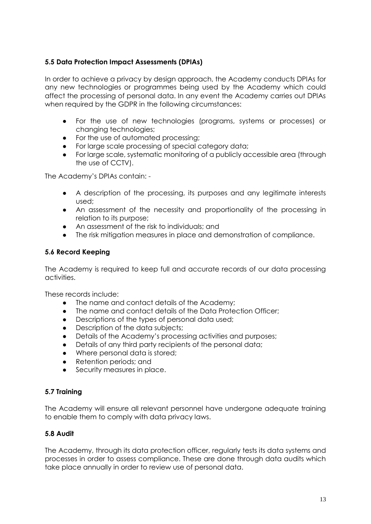# **5.5 Data Protection Impact Assessments (DPIAs)**

In order to achieve a privacy by design approach, the Academy conducts DPIAs for any new technologies or programmes being used by the Academy which could affect the processing of personal data. In any event the Academy carries out DPIAs when required by the GDPR in the following circumstances:

- For the use of new technologies (programs, systems or processes) or changing technologies;
- For the use of automated processing;
- For large scale processing of special category data;
- For large scale, systematic monitoring of a publicly accessible area (through the use of CCTV).

The Academy's DPIAs contain: -

- A description of the processing, its purposes and any legitimate interests used;
- An assessment of the necessity and proportionality of the processing in relation to its purpose;
- An assessment of the risk to individuals; and
- The risk mitigation measures in place and demonstration of compliance.

# **5.6 Record Keeping**

The Academy is required to keep full and accurate records of our data processing activities.

These records include:

- The name and contact details of the Academy;
- The name and contact details of the Data Protection Officer;
- Descriptions of the types of personal data used;
- Description of the data subjects;
- Details of the Academy's processing activities and purposes;
- Details of any third party recipients of the personal data;
- Where personal data is stored:
- Retention periods; and
- Security measures in place.

# **5.7 Training**

The Academy will ensure all relevant personnel have undergone adequate training to enable them to comply with data privacy laws.

# **5.8 Audit**

The Academy, through its data protection officer, regularly tests its data systems and processes in order to assess compliance. These are done through data audits which take place annually in order to review use of personal data.